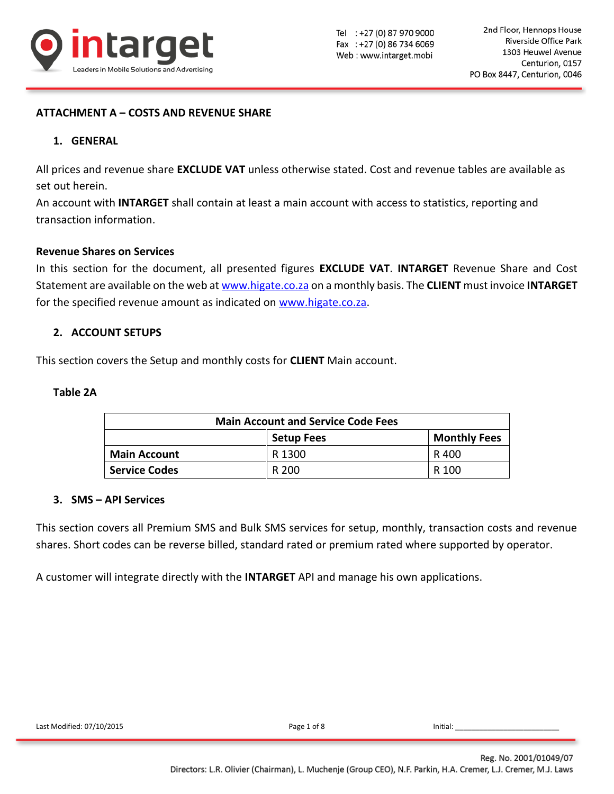

## **ATTACHMENT A – COSTS AND REVENUE SHARE**

### **1. GENERAL**

All prices and revenue share **EXCLUDE VAT** unless otherwise stated. Cost and revenue tables are available as set out herein.

An account with **INTARGET** shall contain at least a main account with access to statistics, reporting and transaction information.

#### **Revenue Shares on Services**

In this section for the document, all presented figures **EXCLUDE VAT**. **INTARGET** Revenue Share and Cost Statement are available on the web at [www.higate.co.za](http://www.higate.co.za/) on a monthly basis. The **CLIENT** must invoice **INTARGET** for the specified revenue amount as indicated on [www.higate.co.za.](http://www.higate.co.za/)

### **2. ACCOUNT SETUPS**

This section covers the Setup and monthly costs for **CLIENT** Main account.

### **Table 2A**

| <b>Main Account and Service Code Fees</b> |        |       |  |  |  |  |  |
|-------------------------------------------|--------|-------|--|--|--|--|--|
| <b>Monthly Fees</b><br><b>Setup Fees</b>  |        |       |  |  |  |  |  |
| <b>Main Account</b>                       | R 1300 | R 400 |  |  |  |  |  |
| <b>Service Codes</b>                      | R 200  | R 100 |  |  |  |  |  |

### **3. SMS – API Services**

This section covers all Premium SMS and Bulk SMS services for setup, monthly, transaction costs and revenue shares. Short codes can be reverse billed, standard rated or premium rated where supported by operator.

A customer will integrate directly with the **INTARGET** API and manage his own applications.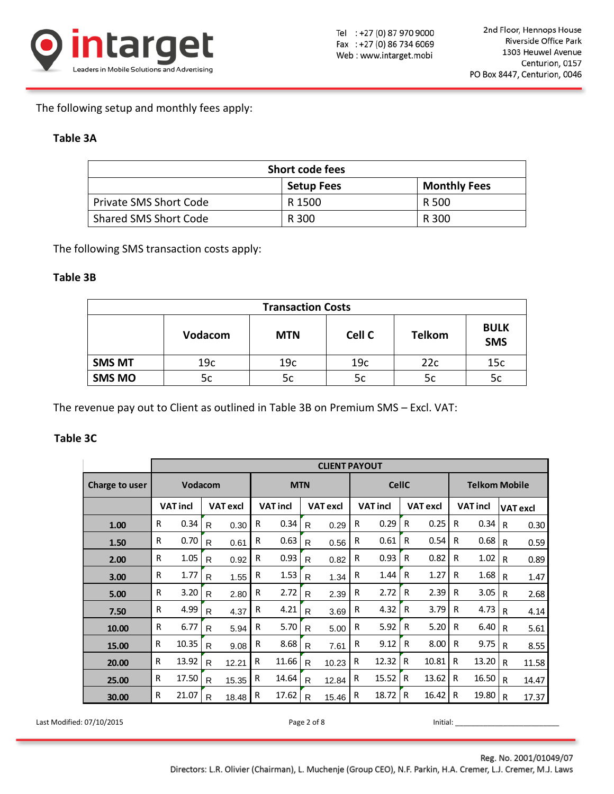

The following setup and monthly fees apply:

## **Table 3A**

| <b>Short code fees</b>                   |        |       |  |  |  |  |  |
|------------------------------------------|--------|-------|--|--|--|--|--|
| <b>Monthly Fees</b><br><b>Setup Fees</b> |        |       |  |  |  |  |  |
| <b>Private SMS Short Code</b>            | R 1500 | R 500 |  |  |  |  |  |
| Shared SMS Short Code                    | R 300  | R 300 |  |  |  |  |  |

The following SMS transaction costs apply:

## **Table 3B**

| <b>Transaction Costs</b> |                |            |                 |               |                           |  |  |  |  |
|--------------------------|----------------|------------|-----------------|---------------|---------------------------|--|--|--|--|
|                          | <b>Vodacom</b> | <b>MTN</b> | Cell C          | <b>Telkom</b> | <b>BULK</b><br><b>SMS</b> |  |  |  |  |
| <b>SMS MT</b>            | 19c            | 19c        | 19 <sub>c</sub> | 22c           | 15c                       |  |  |  |  |
| <b>SMS MO</b>            | 5c             | 5c         | 5c              | 5c            | 5c                        |  |  |  |  |

The revenue pay out to Client as outlined in Table 3B on Premium SMS – Excl. VAT:

## **Table 3C**

|                |   | <b>CLIENT PAYOUT</b> |              |                 |            |                 |              |                 |                                    |       |              |       |                      |                 |   |       |
|----------------|---|----------------------|--------------|-----------------|------------|-----------------|--------------|-----------------|------------------------------------|-------|--------------|-------|----------------------|-----------------|---|-------|
| Charge to user |   | <b>Vodacom</b>       |              |                 | <b>MTN</b> |                 |              |                 | <b>CellC</b>                       |       |              |       | <b>Telkom Mobile</b> |                 |   |       |
|                |   | <b>VAT incl</b>      |              | <b>VAT excl</b> |            | <b>VAT incl</b> |              | <b>VAT excl</b> | <b>VAT incl</b><br><b>VAT excl</b> |       |              |       | <b>VAT incl</b>      | <b>VAT excl</b> |   |       |
| 1.00           | R | 0.34                 | R            | 0.30            | R          | 0.34            | R            | 0.29            | R                                  | 0.29  | R            | 0.25  | R                    | 0.34            | R | 0.30  |
| 1.50           | R | 0.70                 | R            | 0.61            | R          | 0.63            | R            | 0.56            | R                                  | 0.61  | $\mathsf{R}$ | 0.54  | R                    | 0.68            | R | 0.59  |
| 2.00           | R | 1.05                 | R            | 0.92            | R          | 0.93            | R            | 0.82            | R                                  | 0.93  | R            | 0.82  | R                    | 1.02            | R | 0.89  |
| 3.00           | R | 1.77                 | R            | 1.55            | R          | 1.53            | R            | 1.34            | R                                  | 1.44  | R            | 1.27  | R                    | 1.68            | R | 1.47  |
| 5.00           | R | 3.20                 | R            | 2.80            | R          | 2.72            | R            | 2.39            | R                                  | 2.72  | R            | 2.39  | R                    | 3.05            | R | 2.68  |
| 7.50           | R | 4.99                 | R            | 4.37            | R          | 4.21            | $\mathsf{R}$ | 3.69            | R                                  | 4.32  | R            | 3.79  | R                    | 4.73            | R | 4.14  |
| 10.00          | R | 6.77                 | R            | 5.94            | R          | 5.70            | R            | 5.00            | R                                  | 5.92  | R            | 5.20  | R                    | 6.40            | R | 5.61  |
| 15.00          | R | 10.35                | R            | 9.08            | R          | 8.68            | R            | 7.61            | R                                  | 9.12  | R            | 8.00  | R                    | 9.75            | R | 8.55  |
| 20.00          | R | 13.92                | R            | 12.21           | R          | 11.66           | R            | 10.23           | R                                  | 12.32 | R            | 10.81 | R                    | 13.20           | R | 11.58 |
| 25.00          | R | 17.50                | R            | 15.35           | R          | 14.64           | R            | 12.84           | R                                  | 15.52 | R            | 13.62 | R                    | 16.50           | R | 14.47 |
| 30.00          | R | 21.07                | $\mathsf{R}$ | 18.48           | R          | 17.62           | R            | 15.46           | R                                  | 18.72 | R            | 16.42 | R                    | 19.80           | R | 17.37 |

Last Modified: 07/10/2015 **Page 2 of 8 Page 2 of 8** Initial: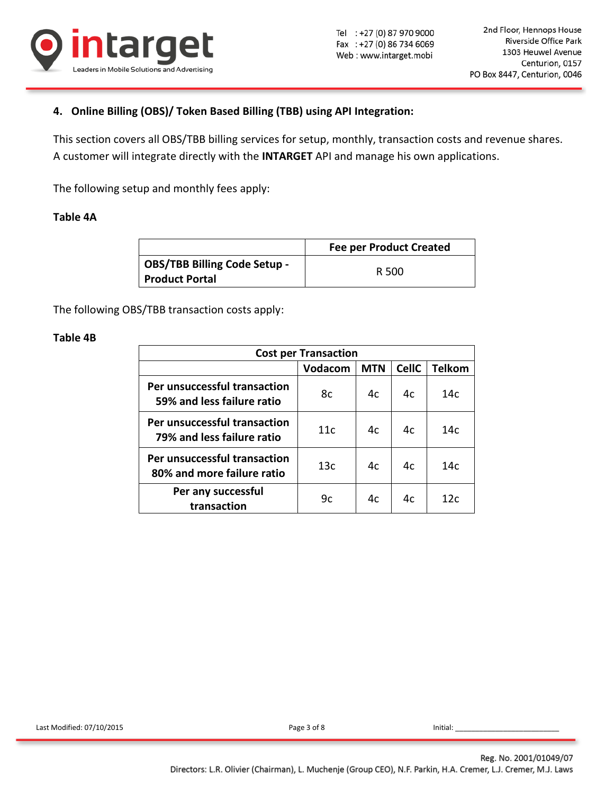

# **4. Online Billing (OBS)/ Token Based Billing (TBB) using API Integration:**

This section covers all OBS/TBB billing services for setup, monthly, transaction costs and revenue shares. A customer will integrate directly with the **INTARGET** API and manage his own applications.

The following setup and monthly fees apply:

### **Table 4A**

|                                                              | <b>Fee per Product Created</b> |
|--------------------------------------------------------------|--------------------------------|
| <b>OBS/TBB Billing Code Setup -</b><br><b>Product Portal</b> | R 500                          |

The following OBS/TBB transaction costs apply:

### **Table 4B**

| <b>Cost per Transaction</b>                                |         |            |              |                 |  |  |  |
|------------------------------------------------------------|---------|------------|--------------|-----------------|--|--|--|
|                                                            | Vodacom | <b>MTN</b> | <b>CellC</b> | <b>Telkom</b>   |  |  |  |
| Per unsuccessful transaction<br>59% and less failure ratio | 8c      | 4c         | 4c           | 14c             |  |  |  |
| Per unsuccessful transaction<br>79% and less failure ratio | 11c     | 4c         | 4c           | 14 <sub>c</sub> |  |  |  |
| Per unsuccessful transaction<br>80% and more failure ratio | 13c     | 4c         | 4c           | 14c             |  |  |  |
| Per any successful<br>transaction                          | 9c      | 4c         | 4c           | 12c             |  |  |  |

Last Modified: 07/10/2015 Page 3 of 8 Initial: \_\_\_\_\_\_\_\_\_\_\_\_\_\_\_\_\_\_\_\_\_\_\_\_\_\_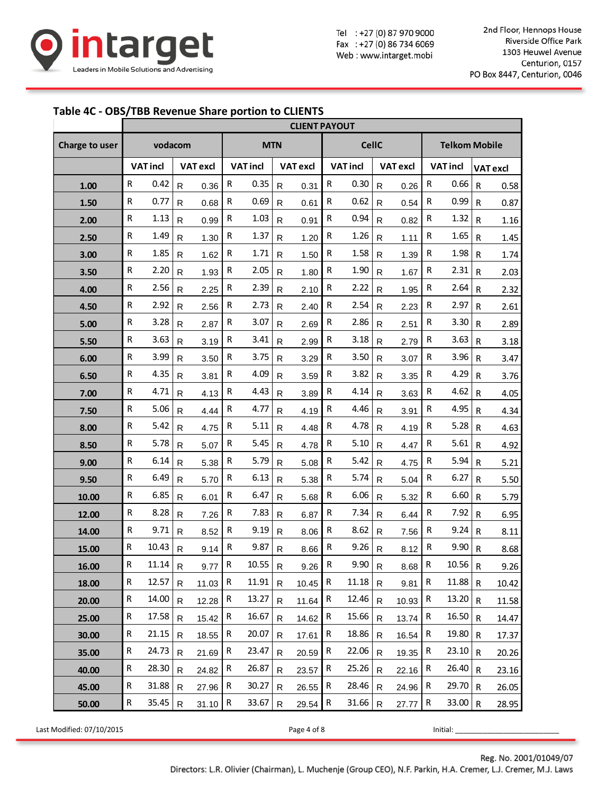

Tel : +27 (0) 87 970 9000 Fax: +27 (0) 86 734 6069 Web: www.intarget.mobi

### **Table 4C - OBS/TBB Revenue Share portion to CLIENTS**

|                |                       | <b>CLIENT PAYOUT</b> |              |                 |              |                 |              |                 |              |                 |              |                 |                 |                      |                 |       |  |
|----------------|-----------------------|----------------------|--------------|-----------------|--------------|-----------------|--------------|-----------------|--------------|-----------------|--------------|-----------------|-----------------|----------------------|-----------------|-------|--|
| Charge to user | vodacom<br><b>MTN</b> |                      |              |                 |              |                 |              | <b>CellC</b>    |              |                 |              |                 |                 | <b>Telkom Mobile</b> |                 |       |  |
|                |                       | <b>VAT incl</b>      |              | <b>VAT excl</b> |              | <b>VAT incl</b> |              | <b>VAT excl</b> |              | <b>VAT incl</b> |              | <b>VAT excl</b> | <b>VAT incl</b> |                      | <b>VAT</b> excl |       |  |
| 1.00           | ${\sf R}$             | 0.42                 | $\mathsf{R}$ | 0.36            | ${\sf R}$    | 0.35            | $\mathsf{R}$ | 0.31            | R            | 0.30            | $\mathsf{R}$ | 0.26            | ${\sf R}$       | 0.66                 | $\mathsf{R}$    | 0.58  |  |
| 1.50           | $\mathsf{R}$          | 0.77                 | $\mathsf{R}$ | 0.68            | ${\sf R}$    | 0.69            | R            | 0.61            | R            | 0.62            | $\mathsf{R}$ | 0.54            | R               | 0.99                 | $\mathsf{R}$    | 0.87  |  |
| 2.00           | $\mathsf{R}$          | 1.13                 | $\mathsf{R}$ | 0.99            | $\mathsf R$  | 1.03            | R            | 0.91            | R            | 0.94            | R            | 0.82            | $\mathsf R$     | 1.32                 | $\mathsf{R}$    | 1.16  |  |
| 2.50           | ${\sf R}$             | 1.49                 | ${\sf R}$    | 1.30            | ${\sf R}$    | 1.37            | R            | 1.20            | R            | 1.26            | $\mathsf{R}$ | 1.11            | R               | 1.65                 | $\mathsf{R}$    | 1.45  |  |
| 3.00           | ${\sf R}$             | 1.85                 | $\mathsf{R}$ | 1.62            | ${\sf R}$    | 1.71            | $\mathsf{R}$ | 1.50            | $\mathsf R$  | 1.58            | ${\sf R}$    | 1.39            | ${\sf R}$       | 1.98                 | $\mathsf{R}$    | 1.74  |  |
| 3.50           | ${\sf R}$             | 2.20                 | $\mathsf{R}$ | 1.93            | ${\sf R}$    | 2.05            | R            | 1.80            | ${\sf R}$    | 1.90            | $\mathsf{R}$ | 1.67            | ${\sf R}$       | 2.31                 | $\mathsf{R}$    | 2.03  |  |
| 4.00           | R                     | 2.56                 | $\mathsf{R}$ | 2.25            | ${\sf R}$    | 2.39            | R            | 2.10            | R            | 2.22            | $\mathsf{R}$ | 1.95            | R               | 2.64                 | ${\sf R}$       | 2.32  |  |
| 4.50           | ${\sf R}$             | 2.92                 | ${\sf R}$    | 2.56            | ${\sf R}$    | 2.73            | R            | 2.40            | R            | 2.54            | ${\sf R}$    | 2.23            | R               | 2.97                 | $\mathsf{R}$    | 2.61  |  |
| 5.00           | $\mathsf{R}$          | 3.28                 | $\mathsf{R}$ | 2.87            | R            | 3.07            | R            | 2.69            | R            | 2.86            | $\mathsf{R}$ | 2.51            | R               | 3.30                 | $\mathsf{R}$    | 2.89  |  |
| 5.50           | R                     | 3.63                 | ${\sf R}$    | 3.19            | ${\sf R}$    | 3.41            | R            | 2.99            | R            | 3.18            | ${\sf R}$    | 2.79            | R               | 3.63                 | $\mathsf{R}$    | 3.18  |  |
| 6.00           | $\mathsf{R}$          | 3.99                 | $\mathsf{R}$ | 3.50            | R            | 3.75            | R            | 3.29            | R            | 3.50            | $\mathsf{R}$ | 3.07            | R               | 3.96                 | $\mathsf{R}$    | 3.47  |  |
| 6.50           | R                     | 4.35                 | $\mathsf{R}$ | 3.81            | ${\sf R}$    | 4.09            | $\mathsf{R}$ | 3.59            | R            | 3.82            | R            | 3.35            | R               | 4.29                 | $\mathsf{R}$    | 3.76  |  |
| 7.00           | $\mathsf{R}$          | 4.71                 | $\mathsf{R}$ | 4.13            | ${\sf R}$    | 4.43            | R            | 3.89            | $\mathsf R$  | 4.14            | R            | 3.63            | R               | 4.62                 | $\mathsf{R}$    | 4.05  |  |
| 7.50           | ${\sf R}$             | 5.06                 | $\mathsf{R}$ | 4.44            | ${\sf R}$    | 4.77            | R.           | 4.19            | R            | 4.46            | ${\sf R}$    | 3.91            | ${\sf R}$       | 4.95                 | $\mathsf R$     | 4.34  |  |
| 8.00           | R                     | 5.42                 | $\mathsf{R}$ | 4.75            | R            | 5.11            | R            | 4.48            | R            | 4.78            | $\mathsf{R}$ | 4.19            | R               | 5.28                 | $\mathsf{R}$    | 4.63  |  |
| 8.50           | ${\sf R}$             | 5.78                 | ${\sf R}$    | 5.07            | R            | 5.45            | R            | 4.78            | R            | 5.10            | ${\sf R}$    | 4.47            | R               | 5.61                 | $\mathsf{R}$    | 4.92  |  |
| 9.00           | ${\sf R}$             | 6.14                 | $\mathsf{R}$ | 5.38            | ${\sf R}$    | 5.79            | R            | 5.08            | R            | 5.42            | R            | 4.75            | R               | 5.94                 | $\mathsf{R}$    | 5.21  |  |
| 9.50           | ${\sf R}$             | 6.49                 | ${\sf R}$    | 5.70            | R            | 6.13            | R            | 5.38            | R            | 5.74            | $\mathsf{R}$ | 5.04            | R               | 6.27                 | $\mathsf{R}$    | 5.50  |  |
| 10.00          | $\mathsf{R}$          | 6.85                 | $\mathsf{R}$ | 6.01            | R            | 6.47            | R            | 5.68            | R            | 6.06            | R            | 5.32            | R               | 6.60                 | $\mathsf{R}$    | 5.79  |  |
| 12.00          | $\mathsf{R}$          | 8.28                 | ${\sf R}$    | 7.26            | ${\sf R}$    | 7.83            | R            | 6.87            | ${\sf R}$    | 7.34            | ${\sf R}$    | 6.44            | R               | 7.92                 | $\mathsf{R}$    | 6.95  |  |
| 14.00          | $\mathsf{R}$          | 9.71                 | $\mathsf{R}$ | 8.52            | ${\sf R}$    | 9.19            | $\mathsf{R}$ | 8.06            | $\mathsf R$  | 8.62            | $\mathsf{R}$ | 7.56            | ${\sf R}$       | 9.24                 | $\mathsf{R}$    | 8.11  |  |
| 15.00          | $\mathsf R$           | 10.43                | $\mathsf{R}$ | 9.14            | ${\sf R}$    | 9.87            | R            | 8.66            | ${\sf R}$    | 9.26            | ${\sf R}$    | 8.12            | $\mathsf{R}$    | 9.90                 | $\mathsf{R}$    | 8.68  |  |
| 16.00          | ${\sf R}$             | $11.14$ R            |              | $9.77$ R        |              | $10.55$ R       |              | $9.26$ R        |              | 9.90 R          |              | $8.68$ R        |                 | $10.56$ R            |                 | 9.26  |  |
| 18.00          | R                     | 12.57                | $\mathsf{R}$ | 11.03           | R            | $11.91$ R       |              | 10.45           | R            | $11.18$ R       |              | 9.81            | R.              | $11.88$ R            |                 | 10.42 |  |
| 20.00          | R                     | $14.00$ R            |              | 12.28           | $\mathsf{R}$ | 13.27           | $\mathsf{R}$ | 11.64           | R            | 12.46           | $\mathsf{R}$ | 10.93           | R               | $13.20$ R            |                 | 11.58 |  |
| 25.00          | R                     | 17.58                | $\mathsf{R}$ | 15.42           | R            | 16.67           | R.           | 14.62           | R            | 15.66           | $\mathsf{R}$ | 13.74           | R               | $16.50$ R            |                 | 14.47 |  |
| 30.00          | R                     | 21.15                | $\mathsf{R}$ | 18.55           | R            | 20.07           | R.           | 17.61           | R            | 18.86           | R            | 16.54           | R               | $19.80$ R            |                 | 17.37 |  |
| 35.00          | R                     | 24.73                | $\mathsf{R}$ | 21.69           | R            | 23.47           | R.           | 20.59           | $\mathsf{R}$ | 22.06           | $\mathsf{R}$ | 19.35           | R               | $23.10$ R            |                 | 20.26 |  |
| 40.00          | $\mathsf{R}$          | 28.30                | $\mathsf{R}$ | 24.82           | $\mathsf{R}$ | 26.87           | R.           | 23.57           | $\mathsf R$  | 25.26           | R            | 22.16           | R               | $26.40$ R            |                 | 23.16 |  |
| 45.00          | R                     | 31.88                | $\mathsf{R}$ | 27.96           | $\mathsf{R}$ | 30.27           | R            | 26.55           | $\mathsf{R}$ | 28.46           | R            | 24.96           | $\mathsf R$     | $29.70$ R            |                 | 26.05 |  |
| 50.00          | $\mathsf{R}$          | $35.45$ R            |              | 31.10           | $\mathsf{R}$ | 33.67           | $\mathsf{R}$ | $29.54$ R       |              | 31.66           | ${\sf R}$    | 27.77           | R               | $33.00 \mid R$       |                 | 28.95 |  |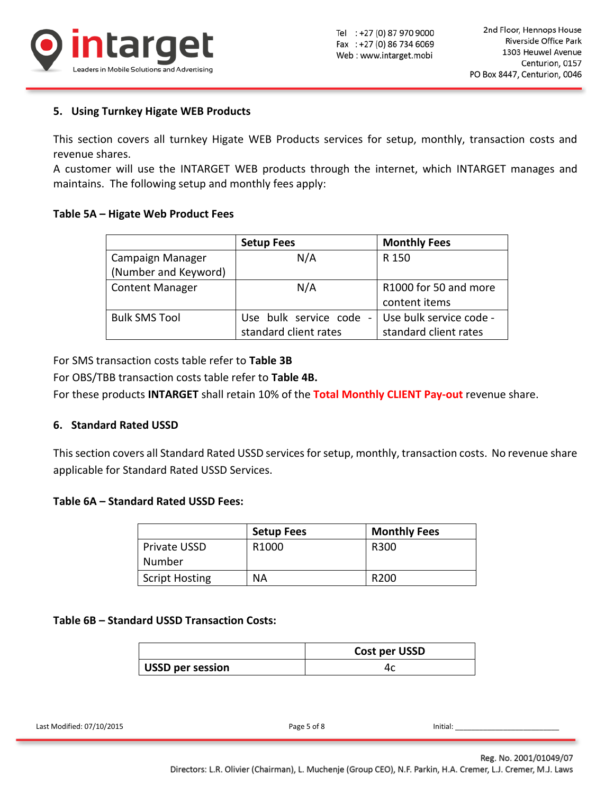

## **5. Using Turnkey Higate WEB Products**

This section covers all turnkey Higate WEB Products services for setup, monthly, transaction costs and revenue shares.

A customer will use the INTARGET WEB products through the internet, which INTARGET manages and maintains. The following setup and monthly fees apply:

### **Table 5A – Higate Web Product Fees**

|                        | <b>Setup Fees</b>                                     | <b>Monthly Fees</b>     |
|------------------------|-------------------------------------------------------|-------------------------|
| Campaign Manager       | N/A                                                   | R 150                   |
| (Number and Keyword)   |                                                       |                         |
| <b>Content Manager</b> | N/A                                                   | R1000 for 50 and more   |
|                        |                                                       | content items           |
| <b>Bulk SMS Tool</b>   | Use bulk service code<br>$\qquad \qquad \blacksquare$ | Use bulk service code - |
|                        | standard client rates                                 | standard client rates   |

For SMS transaction costs table refer to **Table 3B**

For OBS/TBB transaction costs table refer to **Table 4B.**

For these products **INTARGET** shall retain 10% of the **Total Monthly CLIENT Pay-out** revenue share.

### **6. Standard Rated USSD**

This section covers all Standard Rated USSD services for setup, monthly, transaction costs. No revenue share applicable for Standard Rated USSD Services.

### **Table 6A – Standard Rated USSD Fees:**

|                       | <b>Setup Fees</b> | <b>Monthly Fees</b> |
|-----------------------|-------------------|---------------------|
| <b>Private USSD</b>   | R <sub>1000</sub> | R300                |
| Number                |                   |                     |
| <b>Script Hosting</b> | <b>NA</b>         | R <sub>200</sub>    |

### **Table 6B – Standard USSD Transaction Costs:**

|                  | Cost per USSD |
|------------------|---------------|
| USSD per session |               |

Last Modified: 07/10/2015 **Page 5 of 8** Initial:

Directors: L.R. Olivier (Chairman), L. Muchenje (Group CEO), N.F. Parkin, H.A. Cremer, L.J. Cremer, M.J. Laws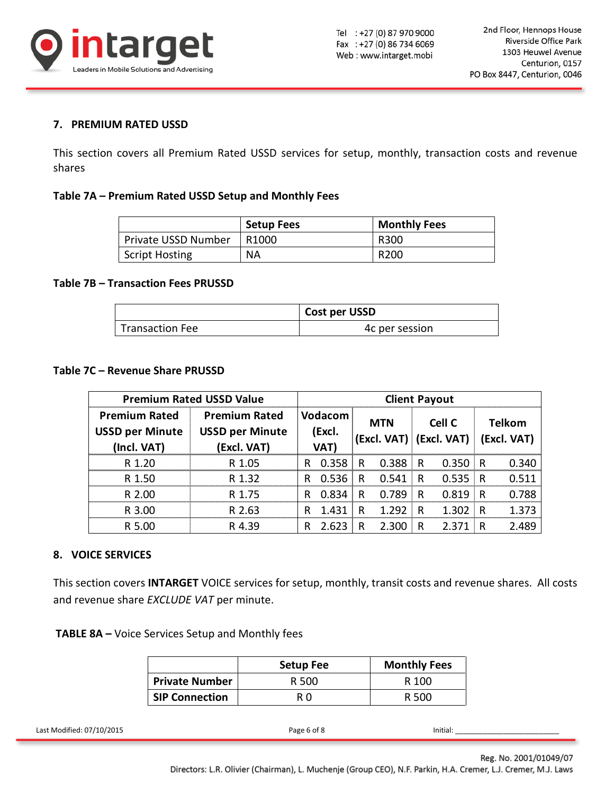

## **7. PREMIUM RATED USSD**

This section covers all Premium Rated USSD services for setup, monthly, transaction costs and revenue shares

#### **Table 7A – Premium Rated USSD Setup and Monthly Fees**

|                            | <b>Setup Fees</b> | <b>Monthly Fees</b> |
|----------------------------|-------------------|---------------------|
| <b>Private USSD Number</b> | R <sub>1000</sub> | R300                |
| <b>Script Hosting</b>      | <b>NA</b>         | R <sub>200</sub>    |

#### **Table 7B – Transaction Fees PRUSSD**

|                        | Cost per USSD  |
|------------------------|----------------|
| <b>Transaction Fee</b> | 4c per session |

#### **Table 7C – Revenue Share PRUSSD**

|                                                                                                                                     | <b>Premium Rated USSD Value</b> |                                                | <b>Client Payout</b>   |                         |                |                                       |                     |                |       |              |             |  |               |
|-------------------------------------------------------------------------------------------------------------------------------------|---------------------------------|------------------------------------------------|------------------------|-------------------------|----------------|---------------------------------------|---------------------|----------------|-------|--------------|-------------|--|---------------|
| <b>Premium Rated</b>                                                                                                                |                                 |                                                | <b>Premium Rated</b>   |                         | <b>Vodacom</b> | <b>MTN</b><br>(Excl. VAT) (Excl. VAT) |                     |                |       |              | Cell C      |  | <b>Telkom</b> |
|                                                                                                                                     | <b>USSD per Minute</b>          |                                                | <b>USSD per Minute</b> |                         | (Excl.         |                                       |                     |                |       |              | (Excl. VAT) |  |               |
| (Incl. VAT)                                                                                                                         |                                 |                                                | (Excl. VAT)            |                         | VAT)           |                                       |                     |                |       |              |             |  |               |
|                                                                                                                                     | R 1.20                          |                                                | R 1.05                 | R                       | 0.358          | $\mathsf{R}$                          | 0.388               | $\mathsf{R}$   | 0.350 | $\mathsf{R}$ | 0.340       |  |               |
|                                                                                                                                     | R 1.50                          |                                                | R 1.32                 | R.                      | 0.536          | $\mathsf{R}$                          | 0.541               | R              | 0.535 | $\mathsf R$  | 0.511       |  |               |
|                                                                                                                                     | R 2.00                          |                                                | R 1.75                 | R                       | 0.834          | $\mathsf{R}$                          | 0.789               | R.             | 0.819 | $\mathsf{R}$ | 0.788       |  |               |
|                                                                                                                                     | R 3.00                          |                                                | R 2.63                 | $\mathsf{R}$            | 1.431          | $\mathsf{R}$                          | 1.292               | $\mathsf{R}$   | 1.302 | $\mathsf{R}$ | 1.373       |  |               |
|                                                                                                                                     | R 5.00                          |                                                | R 4.39                 | R.                      | 2.623          | R.                                    | 2.300               | R              | 2.371 | $\mathsf{R}$ | 2.489       |  |               |
| 8. VOICE SERVICES<br>This section covers INTARGET VOICE services for setup, monthly, transit costs and revenue shares. All containe |                                 |                                                |                        |                         |                |                                       |                     |                |       |              |             |  |               |
| and revenue share EXCLUDE VAT per minute.<br><b>TABLE 8A - Voice Services Setup and Monthly fees</b>                                |                                 |                                                |                        |                         |                |                                       |                     |                |       |              |             |  |               |
|                                                                                                                                     |                                 |                                                | <b>Setup Fee</b>       |                         |                |                                       | <b>Monthly Fees</b> |                |       |              |             |  |               |
|                                                                                                                                     |                                 | <b>Private Number</b><br><b>SIP Connection</b> |                        | R 500<br>R <sub>0</sub> |                |                                       |                     | R 100<br>R 500 |       |              |             |  |               |

### **8. VOICE SERVICES**

|                       | <b>Setup Fee</b> | <b>Monthly Fees</b> |
|-----------------------|------------------|---------------------|
| <b>Private Number</b> | R 500            | R 100               |
| <b>SIP Connection</b> | R O              | R 500               |

| $\sim$<br>Last Modified:<br>)7/10/2015<br>$ -$ | .<br>Initial: |
|------------------------------------------------|---------------|
|                                                |               |

Reg. No. 2001/01049/07

Directors: L.R. Olivier (Chairman), L. Muchenje (Group CEO), N.F. Parkin, H.A. Cremer, L.J. Cremer, M.J. Laws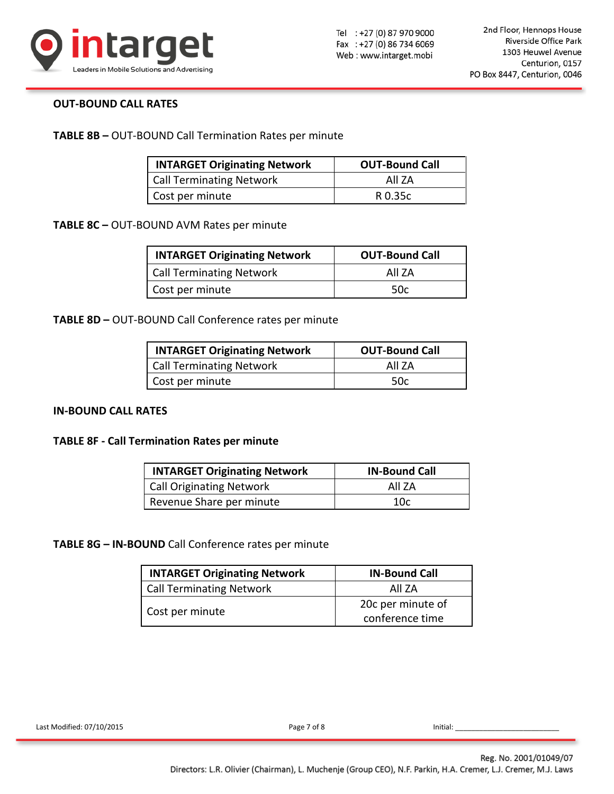

### **OUT-BOUND CALL RATES**

**TABLE 8B –** OUT-BOUND Call Termination Rates per minute

| <b>INTARGET Originating Network</b> | <b>OUT-Bound Call</b> |
|-------------------------------------|-----------------------|
| <b>Call Terminating Network</b>     | All 7A                |
| Cost per minute                     | R 0.35c               |

**TABLE 8C –** OUT-BOUND AVM Rates per minute

| <b>INTARGET Originating Network</b> | <b>OUT-Bound Call</b> |  |  |
|-------------------------------------|-----------------------|--|--|
| <b>Call Terminating Network</b>     | All 7A                |  |  |
| Cost per minute                     | 50c                   |  |  |

**TABLE 8D –** OUT-BOUND Call Conference rates per minute

| <b>INTARGET Originating Network</b> | <b>OUT-Bound Call</b> |
|-------------------------------------|-----------------------|
| <b>Call Terminating Network</b>     | All 7A                |
| Cost per minute                     | .50c                  |

### **IN-BOUND CALL RATES**

#### **TABLE 8F - Call Termination Rates per minute**

| <b>INTARGET Originating Network</b> | <b>IN-Bound Call</b> |
|-------------------------------------|----------------------|
| <b>Call Originating Network</b>     | All 7A               |
| Revenue Share per minute            | 10c                  |

**TABLE 8G – IN-BOUND** Call Conference rates per minute

| <b>INTARGET Originating Network</b> | <b>IN-Bound Call</b> |  |  |
|-------------------------------------|----------------------|--|--|
| <b>Call Terminating Network</b>     | All 7A               |  |  |
| Cost per minute                     | 20c per minute of    |  |  |
|                                     | conference time      |  |  |

Last Modified: 07/10/2015 **Page 7 of 8** Initial: Last Modified: 07/10/2015